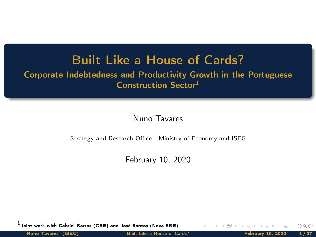#### Built Like a House of Cards?

<span id="page-0-0"></span>Corporate Indebtedness and Productivity Growth in the Portuguese Construction Sector<sup>1</sup>

Nuno Tavares

Strategy and Research Office - Ministry of Economy and ISEG

February 10, 2020

 $^{\rm 1}$ Joint work with Gabriel Barros (GEE) and José Santos (Nova SBE)

 $\leftarrow \Box$ 

Nuno Tavares (ISEG) [Built Like a House of Cards?](#page-26-0) February 10, 2020 1/27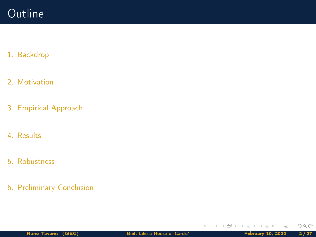### **Outline**

#### 1. [Backdrop](#page-2-0)

- 2. [Motivation](#page-5-0)
- 3. [Empirical Approach](#page-9-0)
- 4. [Results](#page-17-0)
- 5. [Robustness](#page-20-0)
- 6. [Preliminary Conclusion](#page-22-0)

Ξ

 $\mathbf{b}$  $\sim$  $\equiv$   $OQ$ 

**K ロ ▶ K @ ▶ K ミ**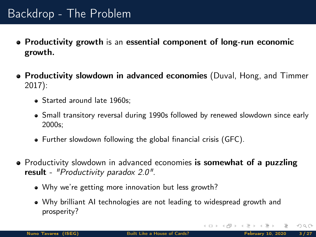# <span id="page-2-0"></span>Backdrop - The Problem

- Productivity growth is an essential component of long-run economic growth.
- **Productivity slowdown in advanced economies** (Duval, Hong, and Timmer [2017\)](#page-24-0):
	- Started around late 1960s;
	- Small transitory reversal during 1990s followed by renewed slowdown since early 2000s;
	- Further slowdown following the global financial crisis (GFC).
- Productivity slowdown in advanced economies is somewhat of a puzzling result - "Productivity paradox 2.0".
	- Why we're getting more innovation but less growth?
	- Why brilliant AI technologies are not leading to widespread growth and prosperity?

 $OQ$ 

**K ロト K 倒 ト K ミト K**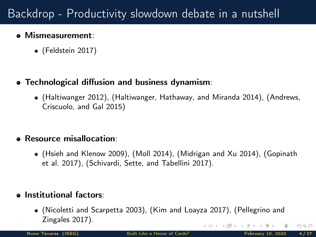# Backdrop - Productivity slowdown debate in a nutshell

#### Mismeasurement:

(Feldstein [2017\)](#page-24-1)

#### Technological diffusion and business dynamism:

(Haltiwanger [2012\)](#page-24-2), (Haltiwanger, Hathaway, and Miranda [2014\)](#page-25-0), (Andrews, Criscuolo, and Gal [2015\)](#page-24-3)

#### Resource misallocation:

(Hsieh and Klenow [2009\)](#page-25-1), (Moll [2014\)](#page-26-1), (Midrigan and Xu [2014\)](#page-25-2), (Gopinath et al. [2017\)](#page-24-4), (Schivardi, Sette, and Tabellini [2017\)](#page-26-2).

#### **.** Institutional factors:

(Nicoletti and Scarpetta [2003\)](#page-26-3), (Kim and Loayza [2017\)](#page-25-3), (Pellegrino and Zingales [2017\)](#page-26-4). イロト イ御 トイモト イモ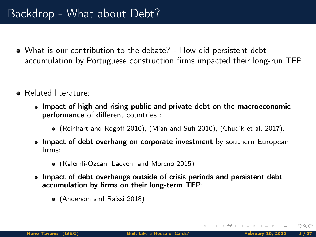- What is our contribution to the debate? How did persistent debt accumulation by Portuguese construction firms impacted their long-run TFP.
- Related literature:
	- Impact of high and rising public and private debt on the macroeconomic performance of different countries :
		- (Reinhart and Rogoff [2010\)](#page-26-5), (Mian and Sufi [2010\)](#page-25-4), (Chudik et al. [2017\)](#page-24-5).
	- Impact of debt overhang on corporate investment by southern European firms:
		- (Kalemli-Ozcan, Laeven, and Moreno [2015\)](#page-25-5)
	- Impact of debt overhangs outside of crisis periods and persistent debt accumulation by firms on their long-term TFP:
		- (Anderson and Raissi [2018\)](#page-24-6)

 $OQ$ 

 $4$  ロ }  $4$  何 }  $4$  ∃ }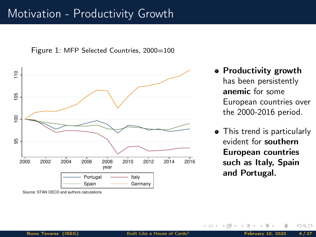#### <span id="page-5-0"></span>Motivation - Productivity Growth

Figure 1: MFP Selected Countries, 2000=100



Source: STAN OECD and authors calculations

- Productivity growth has been persistently anemic for some European countries over the 2000-2016 period.
- This trend is particularly evident for southern European countries such as Italy, Spain and Portugal.

 $\leftarrow$   $\Box$   $\rightarrow$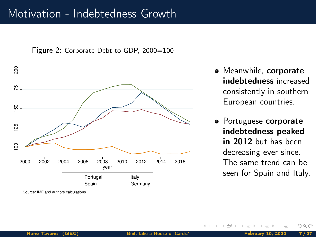#### Motivation - Indebtedness Growth





Source: IMF and authors calculations

- Meanwhile, corporate indebtedness increased consistently in southern European countries.
- **•** Portuguese corporate indebtedness peaked in 2012 but has been decreasing ever since. The same trend can be seen for Spain and Italy.

 $\leftarrow$   $\Box$   $\rightarrow$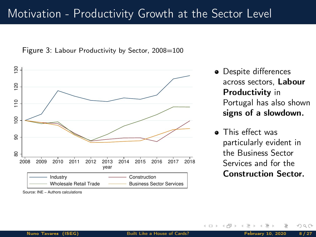### Motivation - Productivity Growth at the Sector Level

Figure 3: Labour Productivity by Sector, 2008=100



Source: INE − Authors calculations

- Despite differences across sectors, Labour Productivity in Portugal has also shown signs of a slowdown.
- This effect was particularly evident in the Business Sector Services and for the Construction Sector.

 $\leftarrow \Box$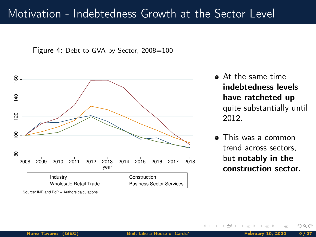#### Motivation - Indebtedness Growth at the Sector Level





Source: INE and BdP − Authors calculations

- At the same time indebtedness levels have ratcheted up quite substantially until 2012.
- $\bullet$ This was a common trend across sectors, but notably in the construction sector.

 $\leftarrow$   $\Box$   $\rightarrow$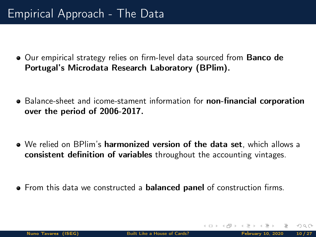## <span id="page-9-0"></span>Empirical Approach - The Data

• Our empirical strategy relies on firm-level data sourced from **Banco de** Portugal's Microdata Research Laboratory (BPlim).

- Balance-sheet and icome-stament information for **non-financial corporation** over the period of 2006-2017.
- We relied on BPlim's **harmonized version of the data set**, which allows a consistent definition of variables throughout the accounting vintages.
- From this data we constructed a **balanced panel** of construction firms.

- ← ロ ▶ → r 何 ▶ →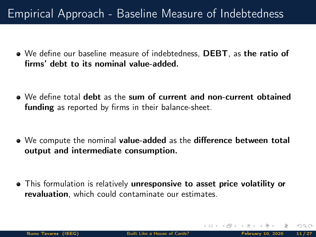# Empirical Approach - Baseline Measure of Indebtedness

- We define our baseline measure of indebtedness, DEBT, as the ratio of firms' debt to its nominal value-added.
- We define total debt as the sum of current and non-current obtained funding as reported by firms in their balance-sheet.
- We compute the nominal value-added as the difference between total output and intermediate consumption.
- This formulation is relatively unresponsive to asset price volatility or revaluation, which could contaminate our estimates.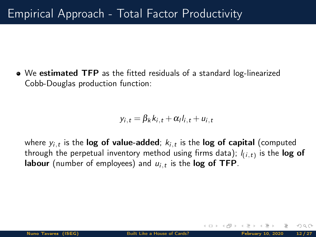• We estimated TFP as the fitted residuals of a standard log-linearized Cobb-Douglas production function:

$$
y_{i,t} = \beta_k k_{i,t} + \alpha_l l_{i,t} + u_{i,t}
$$

where  $\mathsf{y}_{i,t}$  is the  $\mathsf{log}$  of value-added;  $\mathsf{k}_{i,t}$  is the  $\mathsf{log}$  of capital (computed through the perpetual inventory method using firms data);  $\mathit{l}_{(i, t)}$  is the  $\log$  of **labour** (number of employees) and  $u_{i,t}$  is the  $\log$  of TFP.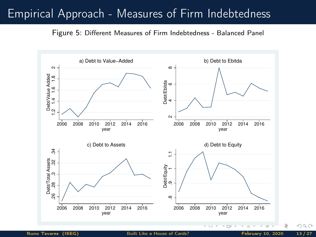### Empirical Approach - Measures of Firm Indebtedness

Figure 5: Different Measures of Firm Indebtedness - Balanced Panel

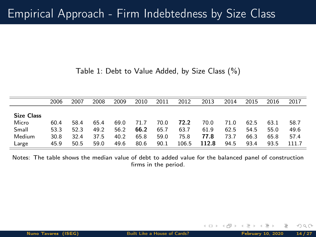Table 1: Debt to Value Added, by Size Class (%)

|                   | 2006 | 2007 | 2008 | 2009 | 2010 | 2011 | 2012  | 2013  | 2014 | 2015 | 2016 | 2017  |
|-------------------|------|------|------|------|------|------|-------|-------|------|------|------|-------|
|                   |      |      |      |      |      |      |       |       |      |      |      |       |
| <b>Size Class</b> |      |      |      |      |      |      |       |       |      |      |      |       |
| Micro             | 60.4 | 58.4 | 65.4 | 69.0 | 71.7 | 70.0 | 72.2  | 70.0  | 71.0 | 62.5 | 63.1 | 58.7  |
| Small             | 53.3 | 52.3 | 49.2 | 56.2 | 66.2 | 65.7 | 63.7  | 61.9  | 62.5 | 54.5 | 55.0 | 49.6  |
| Medium            | 30.8 | 32.4 | 37.5 | 40.2 | 65.8 | 59.0 | 75.8  | 77.8  | 73.7 | 66.3 | 65.8 | 57.4  |
| Large             | 45.9 | 50.5 | 59.0 | 49.6 | 80.6 | 90.1 | 106.5 | 112.8 | 94.5 | 93.4 | 93.5 | 111.7 |

Notes: The table shows the median value of debt to added value for the balanced panel of construction firms in the period.

 $OQ$ 

 $4$  ロ  $\rightarrow$   $4$   $\overline{r}$   $\rightarrow$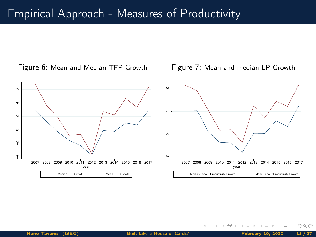#### Empirical Approach - Measures of Productivity





 $\mathbf{A} \quad \square \quad \mathbf{B} \quad \mathbf{A}$ 高

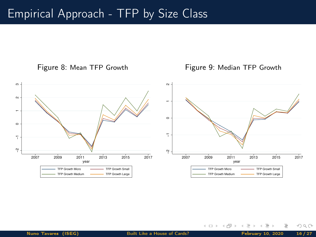### Empirical Approach - TFP by Size Class



Figure 9: Median TFP Growth

← ロ ▶ → d →



Nuno Tavares (ISEG) [Built Like a House of Cards?](#page-0-0) February 10, 2020 16/27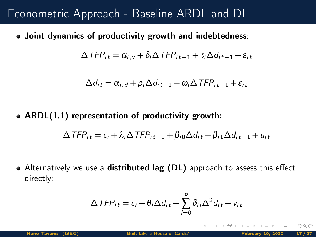### Econometric Approach - Baseline ARDL and DL

Joint dynamics of productivity growth and indebtedness:

$$
\Delta \text{TFP}_{it} = \alpha_{i,y} + \delta_i \Delta \text{TFP}_{it-1} + \tau_i \Delta d_{it-1} + \varepsilon_{it}
$$

$$
\Delta d_{it} = \alpha_{i,d} + \rho_i \Delta d_{it-1} + \omega_i \Delta TFP_{it-1} + \varepsilon_{it}
$$

• ARDL $(1,1)$  representation of productivity growth:

$$
\Delta TFP_{it} = c_i + \lambda_i \Delta TFP_{it-1} + \beta_{i0} \Delta d_{it} + \beta_{i1} \Delta d_{it-1} + u_{it}
$$

• Alternatively we use a distributed lag (DL) approach to assess this effect directly:

$$
\Delta \mathit{TFP}_{it} = c_i + \theta_i \Delta d_{it} + \sum_{l=0}^{p} \delta_{il} \Delta^2 d_{it} + v_{it}
$$

 $\Omega$ 

**4 ロト 4 何 ト**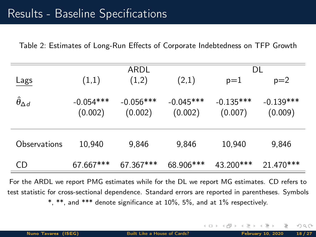<span id="page-17-0"></span>Table 2: Estimates of Long-Run Effects of Corporate Indebtedness on TFP Growth

|                           |                        | ARDL                   | DL                     |                        |                        |
|---------------------------|------------------------|------------------------|------------------------|------------------------|------------------------|
| Lags                      | (1,1)                  | (1,2)                  | (2,1)                  | $p=1$                  | $p=2$                  |
| $\hat{\theta}_{\Delta d}$ | $-0.054***$<br>(0.002) | $-0.056***$<br>(0.002) | $-0.045***$<br>(0.002) | $-0.135***$<br>(0.007) | $-0.139***$<br>(0.009) |
| Observations              | 10,940                 | 9,846                  | 9,846                  | 10,940                 | 9,846                  |
| <b>CD</b>                 | 67.667***              | 67.367***              | 68.906***              | 43.200***              | 21.470***              |

For the ARDL we report PMG estimates while for the DL we report MG estimates. CD refers to test statistic for cross-sectional dependence. Standard errors are reported in parentheses. Symbols \*, \*\*, and \*\*\* denote significance at 10%, 5%, and at 1% respectively.

 $OQ$ 

**4 ロ > 4 何 }** .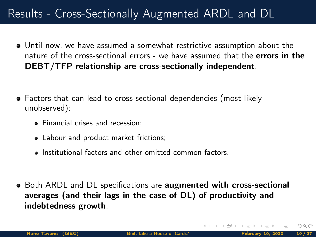# Results - Cross-Sectionally Augmented ARDL and DL

- Until now, we have assumed a somewhat restrictive assumption about the nature of the cross-sectional errors - we have assumed that the errors in the DEBT/TFP relationship are cross-sectionally independent.
- Factors that can lead to cross-sectional dependencies (most likely unobserved):
	- Financial crises and recession;
	- Labour and product market frictions;
	- Institutional factors and other omitted common factors.
- Both ARDL and DL specifications are augmented with cross-sectional averages (and their lags in the case of DL) of productivity and indebtedness growth.

 $\Omega$ 

- ← ロ ▶ → r 何 ▶ →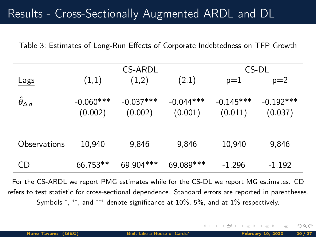### Results - Cross-Sectionally Augmented ARDL and DL

Table 3: Estimates of Long-Run Effects of Corporate Indebtedness on TFP Growth

|                           |             | CS-ARDL     | CS-DL       |             |             |
|---------------------------|-------------|-------------|-------------|-------------|-------------|
| Lags                      | (1,1)       | (1,2)       | (2,1)       | $p=1$       | $p=2$       |
| $\hat{\theta}_{\Delta d}$ | $-0.060***$ | $-0.037***$ | $-0.044***$ | $-0.145***$ | $-0.192***$ |
|                           | (0.002)     | (0.002)     | (0.001)     | (0.011)     | (0.037)     |
|                           |             |             |             |             |             |
| Observations              | 10,940      | 9,846       | 9,846       | 10,940      | 9,846       |
| CD                        | 66.753**    | 69.904***   | 69.089***   | $-1.296$    | $-1.192$    |

For the CS-ARDL we report PMG estimates while for the CS-DL we report MG estimates. CD refers to test statistic for cross-sectional dependence. Standard errors are reported in parentheses. Symbols \*, \*\*, and \*\*\* denote significance at 10%, 5%, and at 1% respectively.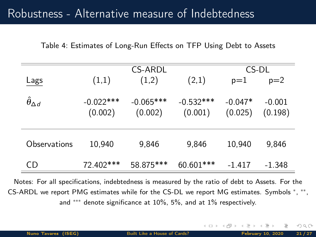### <span id="page-20-0"></span>Robustness - Alternative measure of Indebtedness

Table 4: Estimates of Long-Run Effects on TFP Using Debt to Assets

|                           |                        | CS-ARDL                | CS-DL                  |                      |                     |
|---------------------------|------------------------|------------------------|------------------------|----------------------|---------------------|
| Lags                      | (1,1)                  | (1,2)                  | (2,1)                  | $p=1$                | $p=2$               |
| $\hat{\theta}_{\Delta d}$ | $-0.022***$<br>(0.002) | $-0.065***$<br>(0.002) | $-0.532***$<br>(0.001) | $-0.047*$<br>(0.025) | $-0.001$<br>(0.198) |
| Observations              | 10,940                 | 9.846                  | 9,846                  | 10,940               | 9,846               |
| CD                        | 72.402***              | 58.875***              | 60.601***              | $-1.417$             | -1.348              |

Notes: For all specifications, indebtedness is measured by the ratio of debt to Assets. For the CS-ARDL we report PMG estimates while for the CS-DL we report MG estimates. Symbols <sup>∗</sup> , ∗∗ , and ∗∗∗ denote significance at 10%, 5%, and at 1% respectively.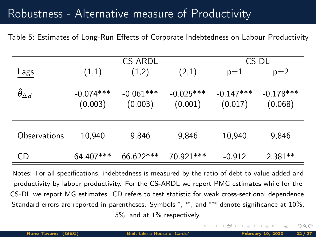### Robustness - Alternative measure of Productivity

Table 5: Estimates of Long-Run Effects of Corporate Indebtedness on Labour Productivity

|                           |             | CS-ARDL     | CS-DL       |             |             |
|---------------------------|-------------|-------------|-------------|-------------|-------------|
| Lags                      | (1,1)       | (1,2)       | (2,1)       | $p=1$       | $p=2$       |
|                           |             |             |             |             |             |
| $\hat{\theta}_{\Delta d}$ | $-0.074***$ | $-0.061***$ | $-0.025***$ | $-0.147***$ | $-0.178***$ |
|                           | (0.003)     | (0.003)     | (0.001)     | (0.017)     | (0.068)     |
|                           |             |             |             |             |             |
|                           |             |             |             |             |             |
| Observations              | 10,940      | 9,846       | 9,846       | 10,940      | 9,846       |
|                           |             |             |             |             |             |
| CD                        | 64.407***   | 66.622***   | 70.921***   | $-0.912$    | $2.381**$   |

Notes: For all specifications, indebtedness is measured by the ratio of debt to value-added and productivity by labour productivity. For the CS-ARDL we report PMG estimates while for the CS-DL we report MG estimates. CD refers to test statistic for weak cross-sectional dependence. Standard errors are reported in parentheses. Symbols \*, \*\*, and \*\*\* denote significance at 10%, 5%, and at 1% respectively.

 $\leftarrow$   $\Box$   $\rightarrow$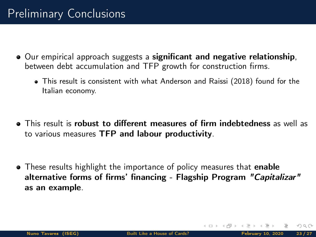- <span id="page-22-0"></span>Our empirical approach suggests a significant and negative relationship, between debt accumulation and TFP growth for construction firms.
	- This result is consistent with what Anderson and Raissi (2018) found for the Italian economy.
- **•** This result is **robust to different measures of firm indebtedness** as well as to various measures TFP and labour productivity.
- These results highlight the importance of policy measures that **enable** alternative forms of firms' financing - Flagship Program "Capitalizar" as an example.

 $\Omega$ 

(□ ) ( ) → (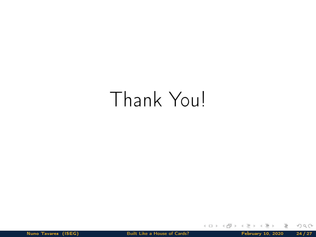# Thank You!

Nuno Tavares (ISEG) [Built Like a House of Cards?](#page-0-0) February 10, 2020 24/27

Ξ

 $OQ$ 

 $\mathcal{A} \quad \square \quad \mathcal{V} \quad \mathcal{A} \quad \square \quad \mathcal{V} \quad \mathcal{A}$ 

E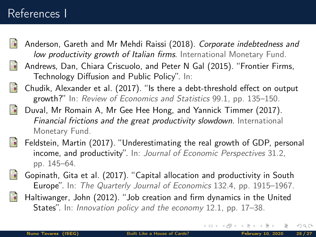### References I

<span id="page-24-6"></span>

<span id="page-24-4"></span><span id="page-24-2"></span>晶

- Anderson, Gareth and Mr Mehdi Raissi (2018). Corporate indebtedness and low productivity growth of Italian firms. International Monetary Fund.
- <span id="page-24-5"></span><span id="page-24-3"></span>暈 Andrews, Dan, Chiara Criscuolo, and Peter N Gal (2015). "Frontier Firms, Technology Diffusion and Public Policy". In:
	- Chudik, Alexander et al. (2017). "Is there a debt-threshold effect on output growth?" In: Review of Economics and Statistics 99.1, pp. 135–150.
- <span id="page-24-1"></span><span id="page-24-0"></span>Ħ Duval, Mr Romain A, Mr Gee Hee Hong, and Yannick Timmer (2017). Financial frictions and the great productivity slowdown. International Monetary Fund.
	- Feldstein, Martin (2017). "Underestimating the real growth of GDP, personal income, and productivity". In: Journal of Economic Perspectives 31.2, pp. 145–64.
	- Gopinath, Gita et al. (2017). "Capital allocation and productivity in South Europe". In: The Quarterly Journal of Economics 132.4, pp. 1915–1967.
		- Haltiwanger, John (2012). "Job creation and firm dynamics in the United States". In: Innovation policy and the economy 12.1, pp. 17-38.

 $\Omega$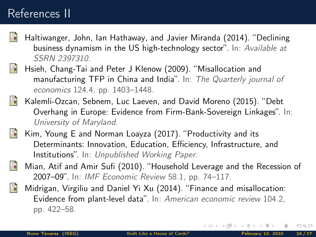## References II

- <span id="page-25-0"></span>Haltiwanger, John, Ian Hathaway, and Javier Miranda (2014). "Declining business dynamism in the US high-technology sector". In: Available at SSRN 2397310.
- <span id="page-25-1"></span>Hsieh, Chang-Tai and Peter J Klenow (2009). "Misallocation and manufacturing TFP in China and India". In: The Quarterly journal of economics 124.4, pp. 1403–1448.
- <span id="page-25-5"></span>靠 Kalemli-Ozcan, Sebnem, Luc Laeven, and David Moreno (2015). "Debt Overhang in Europe: Evidence from Firm-Bank-Sovereign Linkages". In: University of Maryland.
- <span id="page-25-4"></span><span id="page-25-3"></span><span id="page-25-2"></span>Kim, Young E and Norman Loayza (2017). "Productivity and its 矗 Determinants: Innovation, Education, Efficiency, Infrastructure, and Institutions". In: Unpublished Working Paper.
	- Mian, Atif and Amir Sufi (2010). "Household Leverage and the Recession of 2007–09". In: IMF Economic Review 58.1, pp. 74–117.
	- Midrigan, Virgiliu and Daniel Yi Xu (2014). "Finance and misallocation: Evidence from plant-level data". In: American economic review 104.2, pp. 422–58.

 $\Omega$ 

**K ロ ▶ K @ ▶ K ミ**